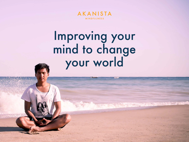

# Improving your mind to change your world

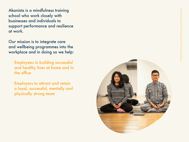Akanista is a mindfulness training school who work closely with businesses and individuals to support performance and resilience at work.

Our mission is to integrate care and wellbeing programmes into the workplace and in doing so we help:

- ∙ Employees in building successful and healthy lives at home and in the office
- ∙ Employers to attract and retain a loyal, successful, mentally and physically strong team

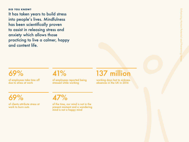**DID YOU KNOW?** 

It has taken years to build stress into people's lives. Mindfulness has been scientifically proven to assist in releasing stress and anxiety which allows those practicing to live a calmer, happy and content life.

of employees take time off due to stress at work

of employees reported being stressed while working

## 69% 41% 137 million

working days lost to sickness absences in the UK in 2016

of clients attribute stress at work to burn outs

## 69% 47%

of the time, our mind is not in the present moment and a wandering mind is not a happy mind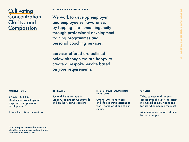## **Cultivating** Concentration, Clarity, and **Compassion**

### **HOW CAN AKANISTA HELP?**

We work to develop employer and employee self-awareness by tapping into human ingenuity through professional development training programmes and personal coaching services.

Services offered are outlined below although we are happy to create a bespoke service based on your requirements.

### **WORKSHOPS**

2 hours 1& 2 day Mindfulness workshops for corporate and personal development.\*

1 hour lunch & learn sessions.

### **RETREATS**

2,4 and 7 day retreats in London, the English Countryside and on the Algarve coastline.

### **INDIVIDUAL COACHING SESSIONS**

One to One Mindfulness and life coaching sessions at work, home or at one of our studios.

### **ONLINE**

Talks, courses and support access available 24/7 to assist in embedding new habits and for use when needed the most.

Mindfulness on the go 1-3 mins for busy people.

\*It takes regular practice for benefits to take effect so we recommend a 6-8 week course for maximum results.